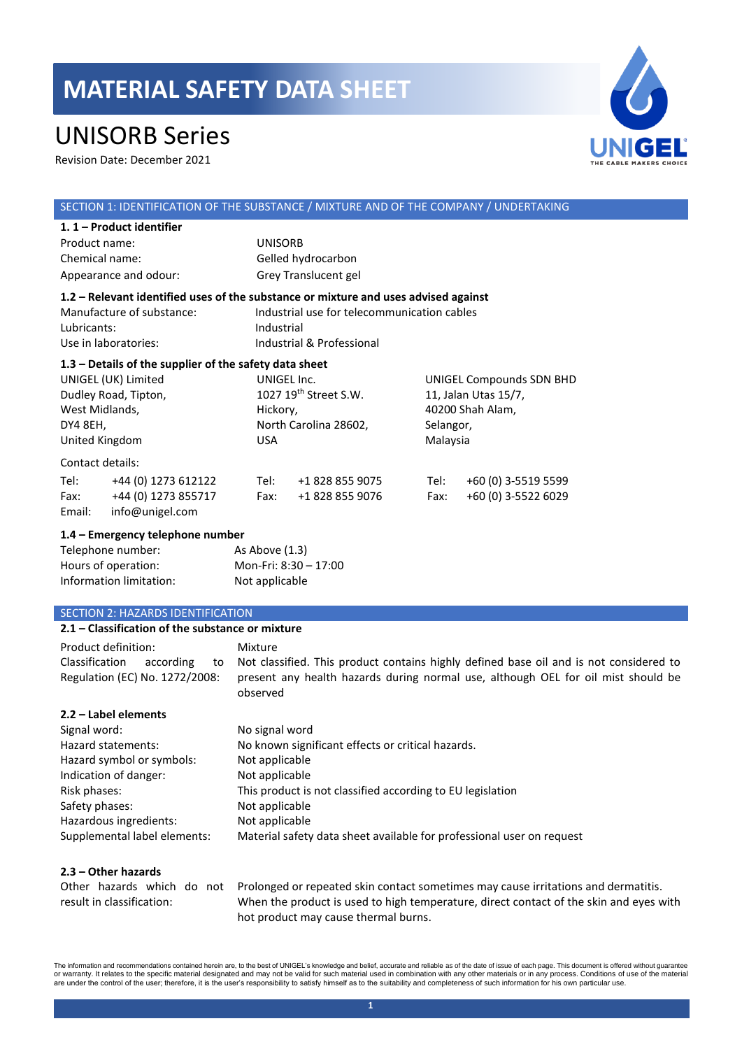## UNISORB Series

Revision Date: December 2021



### SECTION 1: IDENTIFICATION OF THE SUBSTANCE / MIXTURE AND OF THE COMPANY / UNDERTAKING

|                                                                                                                                                         | 1.1 - Product identifier                                      |                                  |                                                                                                                                                                               |              |                                                                                               |  |  |
|---------------------------------------------------------------------------------------------------------------------------------------------------------|---------------------------------------------------------------|----------------------------------|-------------------------------------------------------------------------------------------------------------------------------------------------------------------------------|--------------|-----------------------------------------------------------------------------------------------|--|--|
| Product name:                                                                                                                                           |                                                               |                                  | <b>UNISORB</b>                                                                                                                                                                |              |                                                                                               |  |  |
| Chemical name:                                                                                                                                          |                                                               |                                  | Gelled hydrocarbon                                                                                                                                                            |              |                                                                                               |  |  |
|                                                                                                                                                         | Appearance and odour:                                         |                                  | Grey Translucent gel                                                                                                                                                          |              |                                                                                               |  |  |
| Manufacture of substance:<br>Lubricants:<br>Use in laboratories:                                                                                        |                                                               |                                  | 1.2 - Relevant identified uses of the substance or mixture and uses advised against<br>Industrial use for telecommunication cables<br>Industrial<br>Industrial & Professional |              |                                                                                               |  |  |
| $1.3$ – Details of the supplier of the safety data sheet<br>UNIGEL (UK) Limited<br>Dudley Road, Tipton,<br>West Midlands,<br>DY4 8EH,<br>United Kingdom |                                                               | <b>USA</b>                       | UNIGEL Inc.<br>1027 $19th$ Street S.W.<br>Hickory,<br>North Carolina 28602,                                                                                                   |              | UNIGEL Compounds SDN BHD<br>11, Jalan Utas 15/7,<br>40200 Shah Alam,<br>Selangor,<br>Malaysia |  |  |
| Contact details:                                                                                                                                        |                                                               |                                  |                                                                                                                                                                               |              |                                                                                               |  |  |
| Tel:<br>Fax:<br>Email:                                                                                                                                  | +44 (0) 1273 612122<br>+44 (0) 1273 855717<br>info@unigel.com | Tel:<br>Fax:                     | +1 828 855 9075<br>+1 828 855 9076                                                                                                                                            | Tel:<br>Fax: | +60 (0) 3-5519 5599<br>+60 (0) 3-5522 6029                                                    |  |  |
| 1.4 – Emergency telephone number<br>Telephone number:<br>Hours of operation:<br>Information limitation:                                                 |                                                               | As Above (1.3)<br>Not applicable | Mon-Fri: 8:30 - 17:00                                                                                                                                                         |              |                                                                                               |  |  |

### SECTION 2: HAZARDS IDENTIFICATION

| 2.1 – Classification of the substance or mixture                                     |                                                                                                                                                                                                       |  |  |  |
|--------------------------------------------------------------------------------------|-------------------------------------------------------------------------------------------------------------------------------------------------------------------------------------------------------|--|--|--|
| Product definition:<br>Classification<br>according<br>Regulation (EC) No. 1272/2008: | Mixture<br>to Not classified. This product contains highly defined base oil and is not considered to<br>present any health hazards during normal use, although OEL for oil mist should be<br>observed |  |  |  |
| 2.2 – Label elements                                                                 |                                                                                                                                                                                                       |  |  |  |

| Signal word:                 | No signal word                                                        |
|------------------------------|-----------------------------------------------------------------------|
| Hazard statements:           | No known significant effects or critical hazards.                     |
| Hazard symbol or symbols:    | Not applicable                                                        |
| Indication of danger:        | Not applicable                                                        |
| Risk phases:                 | This product is not classified according to EU legislation            |
| Safety phases:               | Not applicable                                                        |
| Hazardous ingredients:       | Not applicable                                                        |
| Supplemental label elements: | Material safety data sheet available for professional user on request |

### **2.3 – Other hazards**

|                           | Other hazards which do not Prolonged or repeated skin contact sometimes may cause irritations and dermatitis. |
|---------------------------|---------------------------------------------------------------------------------------------------------------|
| result in classification: | When the product is used to high temperature, direct contact of the skin and eyes with                        |
|                           | hot product may cause thermal burns.                                                                          |

The information and recommendations contained herein are, to the best of UNIGEL's knowledge and belief, accurate and reliable as of the date of issue of each page. This document is offered without guarantee<br>or warranty. It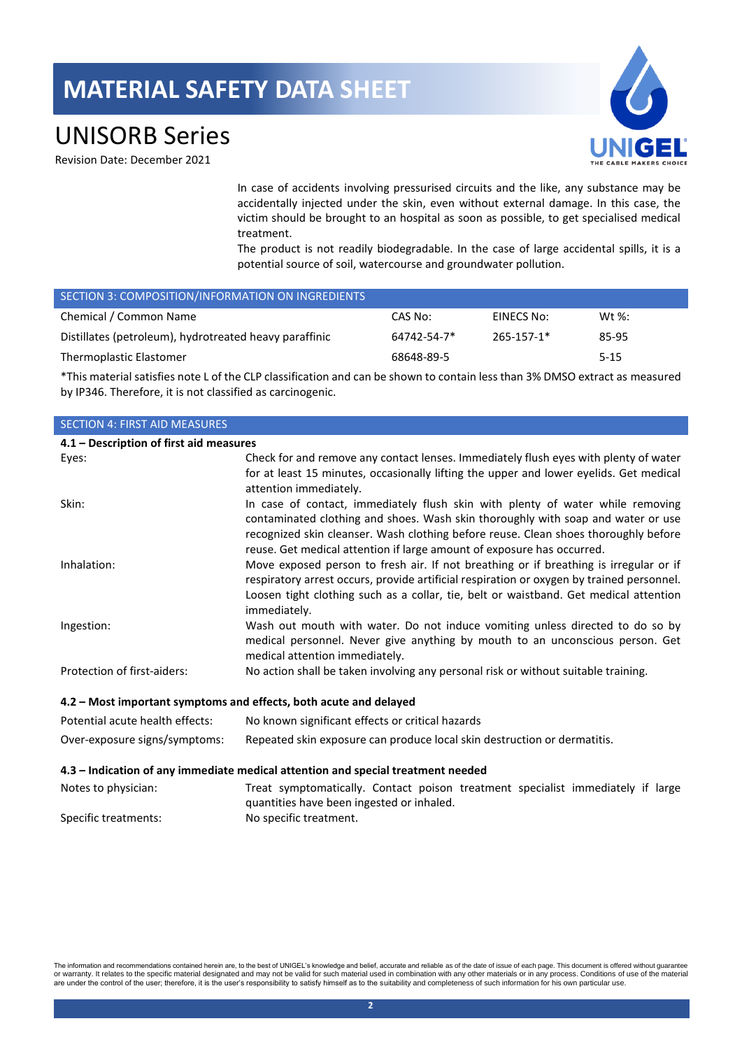## UNISORB Series

Revision Date: December 2021

In case of accidents involving pressurised circuits and the like, any substance may be accidentally injected under the skin, even without external damage. In this case, the victim should be brought to an hospital as soon as possible, to get specialised medical treatment.

The product is not readily biodegradable. In the case of large accidental spills, it is a potential source of soil, watercourse and groundwater pollution.

| SECTION 3: COMPOSITION/INFORMATION ON INGREDIENTS      |             |            |           |
|--------------------------------------------------------|-------------|------------|-----------|
| Chemical / Common Name                                 | CAS No:     | EINECS No: | Wt $\%$ : |
| Distillates (petroleum), hydrotreated heavy paraffinic | 64742-54-7* | 265-157-1* | 85-95     |
| Thermoplastic Elastomer                                | 68648-89-5  |            | $5 - 15$  |

\*This material satisfies note L of the CLP classification and can be shown to contain less than 3% DMSO extract as measured by IP346. Therefore, it is not classified as carcinogenic.

### SECTION 4: FIRST AID MEASURES

| 4.1 – Description of first aid measures |                                                                                                                                                                                                                                                                                             |
|-----------------------------------------|---------------------------------------------------------------------------------------------------------------------------------------------------------------------------------------------------------------------------------------------------------------------------------------------|
| Eyes:                                   | Check for and remove any contact lenses. Immediately flush eyes with plenty of water                                                                                                                                                                                                        |
|                                         | for at least 15 minutes, occasionally lifting the upper and lower eyelids. Get medical<br>attention immediately.                                                                                                                                                                            |
| Skin:                                   | In case of contact, immediately flush skin with plenty of water while removing<br>contaminated clothing and shoes. Wash skin thoroughly with soap and water or use<br>recognized skin cleanser. Wash clothing before reuse. Clean shoes thoroughly before                                   |
|                                         | reuse. Get medical attention if large amount of exposure has occurred.                                                                                                                                                                                                                      |
| Inhalation:                             | Move exposed person to fresh air. If not breathing or if breathing is irregular or if<br>respiratory arrest occurs, provide artificial respiration or oxygen by trained personnel.<br>Loosen tight clothing such as a collar, tie, belt or waistband. Get medical attention<br>immediately. |
| Ingestion:                              | Wash out mouth with water. Do not induce vomiting unless directed to do so by<br>medical personnel. Never give anything by mouth to an unconscious person. Get<br>medical attention immediately.                                                                                            |
| Protection of first-aiders:             | No action shall be taken involving any personal risk or without suitable training.                                                                                                                                                                                                          |
|                                         | 4.2 - Most important symptoms and effects, both acute and delayed                                                                                                                                                                                                                           |

| Potential acute health effects: | No known significant effects or critical hazards                         |
|---------------------------------|--------------------------------------------------------------------------|
| Over-exposure signs/symptoms:   | Repeated skin exposure can produce local skin destruction or dermatitis. |

### **4.3 – Indication of any immediate medical attention and special treatment needed**

| Notes to physician:  | Treat symptomatically. Contact poison treatment specialist immediately if large |  |  |  |  |
|----------------------|---------------------------------------------------------------------------------|--|--|--|--|
|                      | quantities have been ingested or inhaled.                                       |  |  |  |  |
| Specific treatments: | No specific treatment.                                                          |  |  |  |  |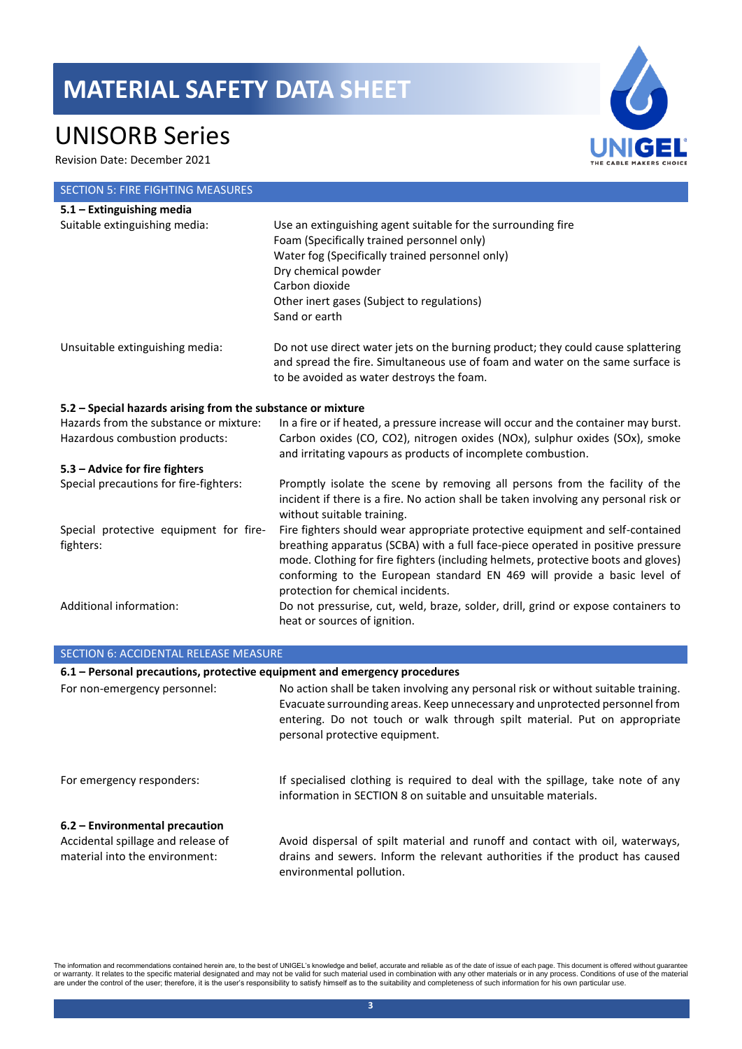# UNISORB Series

Revision Date: December 2021

| <b>SECTION 5: FIRE FIGHTING MEASURES</b>                    |                                                                                                                                                                                                   |
|-------------------------------------------------------------|---------------------------------------------------------------------------------------------------------------------------------------------------------------------------------------------------|
| 5.1 - Extinguishing media                                   |                                                                                                                                                                                                   |
| Suitable extinguishing media:                               | Use an extinguishing agent suitable for the surrounding fire                                                                                                                                      |
|                                                             | Foam (Specifically trained personnel only)                                                                                                                                                        |
|                                                             | Water fog (Specifically trained personnel only)                                                                                                                                                   |
|                                                             | Dry chemical powder                                                                                                                                                                               |
|                                                             | Carbon dioxide                                                                                                                                                                                    |
|                                                             | Other inert gases (Subject to regulations)                                                                                                                                                        |
|                                                             | Sand or earth                                                                                                                                                                                     |
| Unsuitable extinguishing media:                             | Do not use direct water jets on the burning product; they could cause splattering<br>and spread the fire. Simultaneous use of foam and water on the same surface is                               |
|                                                             | to be avoided as water destroys the foam.                                                                                                                                                         |
| 5.2 - Special hazards arising from the substance or mixture |                                                                                                                                                                                                   |
| Hazards from the substance or mixture:                      | In a fire or if heated, a pressure increase will occur and the container may burst.                                                                                                               |
| Hazardous combustion products:                              | Carbon oxides (CO, CO2), nitrogen oxides (NOx), sulphur oxides (SOx), smoke<br>and irritating vapours as products of incomplete combustion.                                                       |
| 5.3 - Advice for fire fighters                              |                                                                                                                                                                                                   |
| Special precautions for fire-fighters:                      | Promptly isolate the scene by removing all persons from the facility of the<br>incident if there is a fire. No action shall be taken involving any personal risk or<br>without suitable training. |
| Special protective equipment for fire-                      | Fire fighters should wear appropriate protective equipment and self-contained                                                                                                                     |
| fighters:                                                   | breathing apparatus (SCBA) with a full face-piece operated in positive pressure                                                                                                                   |
|                                                             | mode. Clothing for fire fighters (including helmets, protective boots and gloves)                                                                                                                 |
|                                                             | conforming to the European standard EN 469 will provide a basic level of<br>protection for chemical incidents.                                                                                    |
| Additional information:                                     | Do not pressurise, cut, weld, braze, solder, drill, grind or expose containers to                                                                                                                 |
|                                                             | heat or sources of ignition.                                                                                                                                                                      |
|                                                             |                                                                                                                                                                                                   |
| <b>SECTION 6: ACCIDENTAL RELEASE MEASURE</b>                |                                                                                                                                                                                                   |

| 6.1 - Personal precautions, protective equipment and emergency procedures                              |                                                                                                                                                                                                                                                                                  |
|--------------------------------------------------------------------------------------------------------|----------------------------------------------------------------------------------------------------------------------------------------------------------------------------------------------------------------------------------------------------------------------------------|
| For non-emergency personnel:                                                                           | No action shall be taken involving any personal risk or without suitable training.<br>Evacuate surrounding areas. Keep unnecessary and unprotected personnel from<br>entering. Do not touch or walk through spilt material. Put on appropriate<br>personal protective equipment. |
| For emergency responders:                                                                              | If specialised clothing is required to deal with the spillage, take note of any<br>information in SECTION 8 on suitable and unsuitable materials.                                                                                                                                |
| 6.2 – Environmental precaution<br>Accidental spillage and release of<br>material into the environment: | Avoid dispersal of spilt material and runoff and contact with oil, waterways,<br>drains and sewers. Inform the relevant authorities if the product has caused<br>environmental pollution.                                                                                        |

The information and recommendations contained herein are, to the best of UNIGEL's knowledge and belief, accurate and reliable as of the date of issue of each page. This document is offered without guarantee<br>or warranty. It

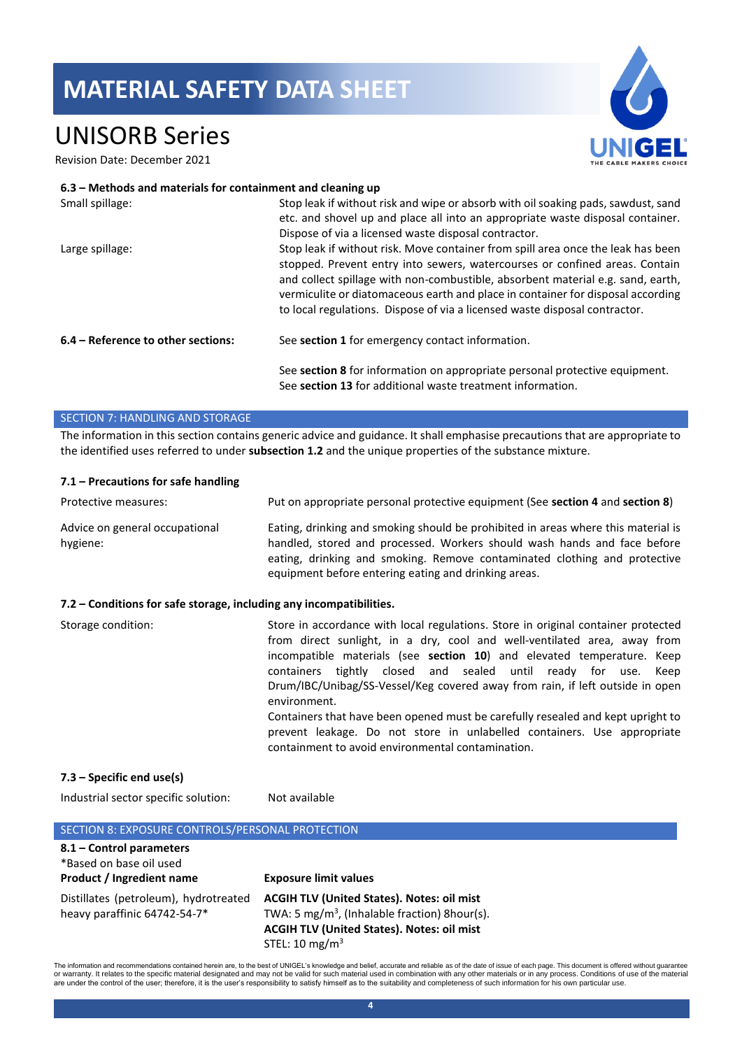## UNISORB Series

Revision Date: December 2021



### **6.3 – Methods and materials for containment and cleaning up**

| Small spillage:                    | Stop leak if without risk and wipe or absorb with oil soaking pads, sawdust, sand<br>etc. and shovel up and place all into an appropriate waste disposal container.                                                                                                                                                                                                                                                 |
|------------------------------------|---------------------------------------------------------------------------------------------------------------------------------------------------------------------------------------------------------------------------------------------------------------------------------------------------------------------------------------------------------------------------------------------------------------------|
|                                    | Dispose of via a licensed waste disposal contractor.                                                                                                                                                                                                                                                                                                                                                                |
| Large spillage:                    | Stop leak if without risk. Move container from spill area once the leak has been<br>stopped. Prevent entry into sewers, watercourses or confined areas. Contain<br>and collect spillage with non-combustible, absorbent material e.g. sand, earth,<br>vermiculite or diatomaceous earth and place in container for disposal according<br>to local regulations. Dispose of via a licensed waste disposal contractor. |
| 6.4 – Reference to other sections: | See section 1 for emergency contact information.                                                                                                                                                                                                                                                                                                                                                                    |
|                                    | See section 8 for information on appropriate personal protective equipment.<br>See section 13 for additional waste treatment information.                                                                                                                                                                                                                                                                           |

### SECTION 7: HANDLING AND STORAGE

The information in this section contains generic advice and guidance. It shall emphasise precautions that are appropriate to the identified uses referred to under **subsection 1.2** and the unique properties of the substance mixture.

### **7.1 – Precautions for safe handling**

| Protective measures:                                                | Put on appropriate personal protective equipment (See section 4 and section 8)                                                                                                                                                                                                                                                                                                                                                                                                                                                                                                                                                   |  |
|---------------------------------------------------------------------|----------------------------------------------------------------------------------------------------------------------------------------------------------------------------------------------------------------------------------------------------------------------------------------------------------------------------------------------------------------------------------------------------------------------------------------------------------------------------------------------------------------------------------------------------------------------------------------------------------------------------------|--|
| Advice on general occupational<br>hygiene:                          | Eating, drinking and smoking should be prohibited in areas where this material is<br>handled, stored and processed. Workers should wash hands and face before<br>eating, drinking and smoking. Remove contaminated clothing and protective<br>equipment before entering eating and drinking areas.                                                                                                                                                                                                                                                                                                                               |  |
| 7.2 - Conditions for safe storage, including any incompatibilities. |                                                                                                                                                                                                                                                                                                                                                                                                                                                                                                                                                                                                                                  |  |
| Storage condition:                                                  | Store in accordance with local regulations. Store in original container protected<br>from direct sunlight, in a dry, cool and well-ventilated area, away from<br>incompatible materials (see section 10) and elevated temperature. Keep<br>containers tightly closed and sealed until ready for use.<br>Keep<br>Drum/IBC/Unibag/SS-Vessel/Keg covered away from rain, if left outside in open<br>environment.<br>Containers that have been opened must be carefully resealed and kept upright to<br>prevent leakage. Do not store in unlabelled containers. Use appropriate<br>containment to avoid environmental contamination. |  |
| 7.3 – Specific end use(s)                                           |                                                                                                                                                                                                                                                                                                                                                                                                                                                                                                                                                                                                                                  |  |

Industrial sector specific solution: Not available

| SECTION 8: EXPOSURE CONTROLS/PERSONAL PROTECTION                                 |                                                                                                                                                                                                  |
|----------------------------------------------------------------------------------|--------------------------------------------------------------------------------------------------------------------------------------------------------------------------------------------------|
| 8.1 - Control parameters<br>*Based on base oil used<br>Product / Ingredient name | <b>Exposure limit values</b>                                                                                                                                                                     |
| Distillates (petroleum), hydrotreated<br>heavy paraffinic 64742-54-7*            | <b>ACGIH TLV (United States). Notes: oil mist</b><br>TWA: 5 mg/m <sup>3</sup> , (Inhalable fraction) 8hour(s).<br><b>ACGIH TLV (United States). Notes: oil mist</b><br>STEL: $10 \text{ mg/m}^3$ |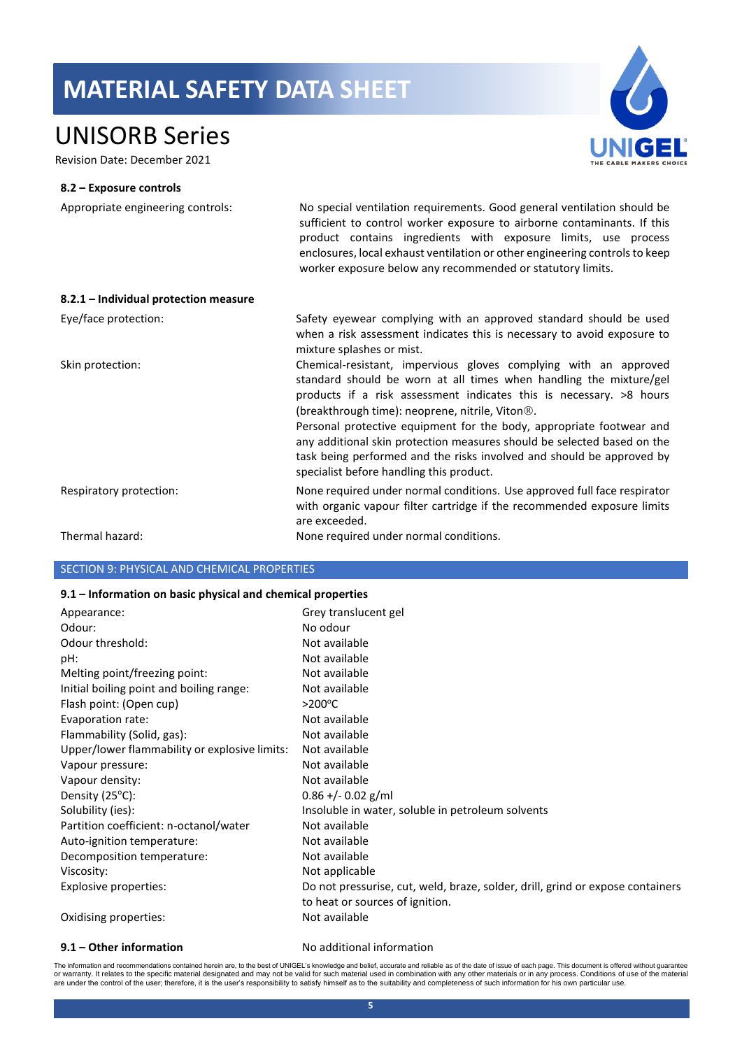## UNISORB Series

Revision Date: December 2021



### **8.2 – Exposure controls**

Appropriate engineering controls: No special ventilation requirements. Good general ventilation should be sufficient to control worker exposure to airborne contaminants. If this product contains ingredients with exposure limits, use process enclosures, local exhaust ventilation or other engineering controls to keep worker exposure below any recommended or statutory limits.

| 8.2.1 - Individual protection measure |                                                                                                                                                                                                                                                                                                                                                       |
|---------------------------------------|-------------------------------------------------------------------------------------------------------------------------------------------------------------------------------------------------------------------------------------------------------------------------------------------------------------------------------------------------------|
| Eye/face protection:                  | Safety eyewear complying with an approved standard should be used<br>when a risk assessment indicates this is necessary to avoid exposure to<br>mixture splashes or mist.                                                                                                                                                                             |
| Skin protection:                      | Chemical-resistant, impervious gloves complying with an approved<br>standard should be worn at all times when handling the mixture/gel<br>products if a risk assessment indicates this is necessary. >8 hours<br>(breakthrough time): neoprene, nitrile, Viton <sup>®</sup> .<br>Personal protective equipment for the body, appropriate footwear and |
|                                       | any additional skin protection measures should be selected based on the<br>task being performed and the risks involved and should be approved by<br>specialist before handling this product.                                                                                                                                                          |
| Respiratory protection:               | None required under normal conditions. Use approved full face respirator<br>with organic vapour filter cartridge if the recommended exposure limits<br>are exceeded.                                                                                                                                                                                  |
| Thermal hazard:                       | None required under normal conditions.                                                                                                                                                                                                                                                                                                                |

### SECTION 9: PHYSICAL AND CHEMICAL PROPERTIES

### **9.1 – Information on basic physical and chemical properties**

| Appearance:                                   | Grey translucent gel                                                           |
|-----------------------------------------------|--------------------------------------------------------------------------------|
| Odour:                                        | No odour                                                                       |
| Odour threshold:                              | Not available                                                                  |
| pH:                                           | Not available                                                                  |
| Melting point/freezing point:                 | Not available                                                                  |
| Initial boiling point and boiling range:      | Not available                                                                  |
| Flash point: (Open cup)                       | $>200^{\circ}$ C                                                               |
| Evaporation rate:                             | Not available                                                                  |
| Flammability (Solid, gas):                    | Not available                                                                  |
| Upper/lower flammability or explosive limits: | Not available                                                                  |
| Vapour pressure:                              | Not available                                                                  |
| Vapour density:                               | Not available                                                                  |
| Density $(25^{\circ}C)$ :                     | $0.86 + - 0.02$ g/ml                                                           |
| Solubility (ies):                             | Insoluble in water, soluble in petroleum solvents                              |
| Partition coefficient: n-octanol/water        | Not available                                                                  |
| Auto-ignition temperature:                    | Not available                                                                  |
| Decomposition temperature:                    | Not available                                                                  |
| Viscosity:                                    | Not applicable                                                                 |
| Explosive properties:                         | Do not pressurise, cut, weld, braze, solder, drill, grind or expose containers |
|                                               | to heat or sources of ignition.                                                |
| Oxidising properties:                         | Not available                                                                  |

### **9.1 – Other information** No additional information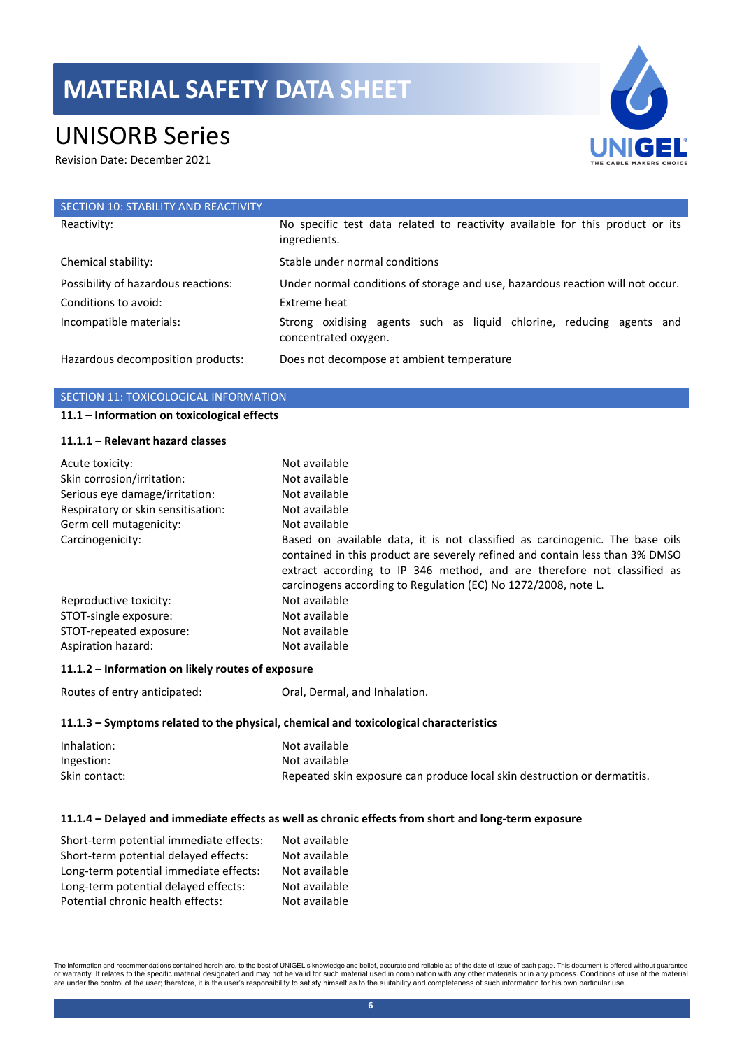# UNISORB Series

Revision Date: December 2021



| SECTION 10: STABILITY AND REACTIVITY |                                                                                               |
|--------------------------------------|-----------------------------------------------------------------------------------------------|
| Reactivity:                          | No specific test data related to reactivity available for this product or its<br>ingredients. |
| Chemical stability:                  | Stable under normal conditions                                                                |
| Possibility of hazardous reactions:  | Under normal conditions of storage and use, hazardous reaction will not occur.                |
| Conditions to avoid:                 | Extreme heat                                                                                  |
| Incompatible materials:              | Strong oxidising agents such as liquid chlorine, reducing agents and<br>concentrated oxygen.  |
| Hazardous decomposition products:    | Does not decompose at ambient temperature                                                     |

### SECTION 11: TOXICOLOGICAL INFORMATION

### **11.1 – Information on toxicological effects**

### **11.1.1 – Relevant hazard classes**

| Acute toxicity:<br>Skin corrosion/irritation:<br>Serious eye damage/irritation:<br>Respiratory or skin sensitisation:<br>Germ cell mutagenicity: | Not available<br>Not available<br>Not available<br>Not available<br>Not available                                                                                                                                                                                                                         |
|--------------------------------------------------------------------------------------------------------------------------------------------------|-----------------------------------------------------------------------------------------------------------------------------------------------------------------------------------------------------------------------------------------------------------------------------------------------------------|
| Carcinogenicity:                                                                                                                                 | Based on available data, it is not classified as carcinogenic. The base oils<br>contained in this product are severely refined and contain less than 3% DMSO<br>extract according to IP 346 method, and are therefore not classified as<br>carcinogens according to Regulation (EC) No 1272/2008, note L. |
| Reproductive toxicity:                                                                                                                           | Not available                                                                                                                                                                                                                                                                                             |
| STOT-single exposure:                                                                                                                            | Not available                                                                                                                                                                                                                                                                                             |
| STOT-repeated exposure:                                                                                                                          | Not available                                                                                                                                                                                                                                                                                             |
| Aspiration hazard:                                                                                                                               | Not available                                                                                                                                                                                                                                                                                             |

### **11.1.2 – Information on likely routes of exposure**

Routes of entry anticipated: Oral, Dermal, and Inhalation.

### **11.1.3 – Symptoms related to the physical, chemical and toxicological characteristics**

| Inhalation:   | Not available                                                            |
|---------------|--------------------------------------------------------------------------|
| Ingestion:    | Not available                                                            |
| Skin contact: | Repeated skin exposure can produce local skin destruction or dermatitis. |

### **11.1.4 – Delayed and immediate effects as well as chronic effects from short and long-term exposure**

| Short-term potential immediate effects: | Not available |
|-----------------------------------------|---------------|
| Short-term potential delayed effects:   | Not available |
| Long-term potential immediate effects:  | Not available |
| Long-term potential delayed effects:    | Not available |
| Potential chronic health effects:       | Not available |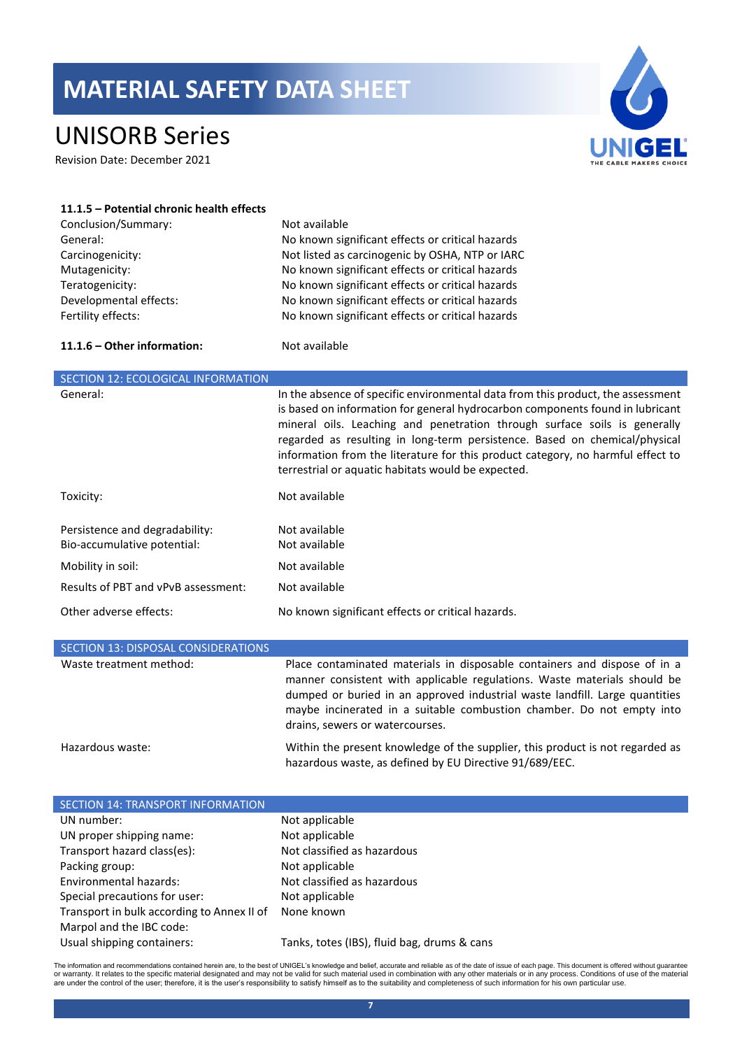# UNISORB Series

Revision Date: December 2021



| 11.1.5 - Potential chronic health effects<br>Conclusion/Summary:<br>General:<br>Carcinogenicity:<br>Mutagenicity:<br>Teratogenicity:<br>Developmental effects:<br>Fertility effects: | Not available<br>No known significant effects or critical hazards<br>Not listed as carcinogenic by OSHA, NTP or IARC<br>No known significant effects or critical hazards<br>No known significant effects or critical hazards<br>No known significant effects or critical hazards<br>No known significant effects or critical hazards                                                                                                                                 |
|--------------------------------------------------------------------------------------------------------------------------------------------------------------------------------------|----------------------------------------------------------------------------------------------------------------------------------------------------------------------------------------------------------------------------------------------------------------------------------------------------------------------------------------------------------------------------------------------------------------------------------------------------------------------|
| 11.1.6 - Other information:                                                                                                                                                          | Not available                                                                                                                                                                                                                                                                                                                                                                                                                                                        |
| SECTION 12: ECOLOGICAL INFORMATION                                                                                                                                                   |                                                                                                                                                                                                                                                                                                                                                                                                                                                                      |
| General:                                                                                                                                                                             | In the absence of specific environmental data from this product, the assessment<br>is based on information for general hydrocarbon components found in lubricant<br>mineral oils. Leaching and penetration through surface soils is generally<br>regarded as resulting in long-term persistence. Based on chemical/physical<br>information from the literature for this product category, no harmful effect to<br>terrestrial or aquatic habitats would be expected. |
| Toxicity:                                                                                                                                                                            | Not available                                                                                                                                                                                                                                                                                                                                                                                                                                                        |
| Persistence and degradability:<br>Bio-accumulative potential:<br>Mobility in soil:                                                                                                   | Not available<br>Not available<br>Not available                                                                                                                                                                                                                                                                                                                                                                                                                      |
| Results of PBT and vPvB assessment:                                                                                                                                                  | Not available                                                                                                                                                                                                                                                                                                                                                                                                                                                        |
| Other adverse effects:                                                                                                                                                               | No known significant effects or critical hazards.                                                                                                                                                                                                                                                                                                                                                                                                                    |
| SECTION 13: DISPOSAL CONSIDERATIONS                                                                                                                                                  |                                                                                                                                                                                                                                                                                                                                                                                                                                                                      |

| <u>JECTION IJI DIJI OJA E CONJENTIJE DI NE</u> |                                                                                                                                                                                                                                                                                                                                                  |
|------------------------------------------------|--------------------------------------------------------------------------------------------------------------------------------------------------------------------------------------------------------------------------------------------------------------------------------------------------------------------------------------------------|
| Waste treatment method:                        | Place contaminated materials in disposable containers and dispose of in a<br>manner consistent with applicable regulations. Waste materials should be<br>dumped or buried in an approved industrial waste landfill. Large quantities<br>maybe incinerated in a suitable combustion chamber. Do not empty into<br>drains, sewers or watercourses. |
| Hazardous waste:                               | Within the present knowledge of the supplier, this product is not regarded as                                                                                                                                                                                                                                                                    |

hazardous waste, as defined by EU Directive 91/689/EEC.

| <b>SECTION 14: TRANSPORT INFORMATION</b>   |                                             |
|--------------------------------------------|---------------------------------------------|
| UN number:                                 | Not applicable                              |
| UN proper shipping name:                   | Not applicable                              |
| Transport hazard class(es):                | Not classified as hazardous                 |
| Packing group:                             | Not applicable                              |
| Environmental hazards:                     | Not classified as hazardous                 |
| Special precautions for user:              | Not applicable                              |
| Transport in bulk according to Annex II of | None known                                  |
| Marpol and the IBC code:                   |                                             |
| Usual shipping containers:                 | Tanks, totes (IBS), fluid bag, drums & cans |

The information and recommendations contained herein are, to the best of UNIGEL's knowledge and belief, accurate and reliable as of the date of issue of each page. This document is offered without guarantee<br>or warranty. It